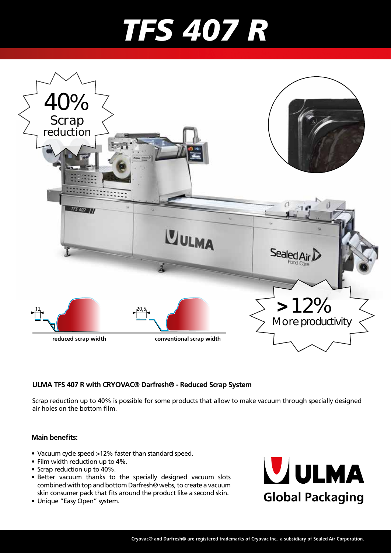## *TFS 407 R*



#### **ULMA TFS 407 R with CRYOVAC® Darfresh® - Reduced Scrap System**

Scrap reduction up to 40% is possible for some products that allow to make vacuum through specially designed air holes on the bottom film.

#### **Main benefits:**

- Vacuum cycle speed >12% faster than standard speed.
- Film width reduction up to 4%.
- Scrap reduction up to 40%.
- Better vacuum thanks to the specially designed vacuum slots combined with top and bottom Darfresh® webs, to create a vacuum skin consumer pack that fits around the product like a second skin.
- Unique "Easy Open" system.